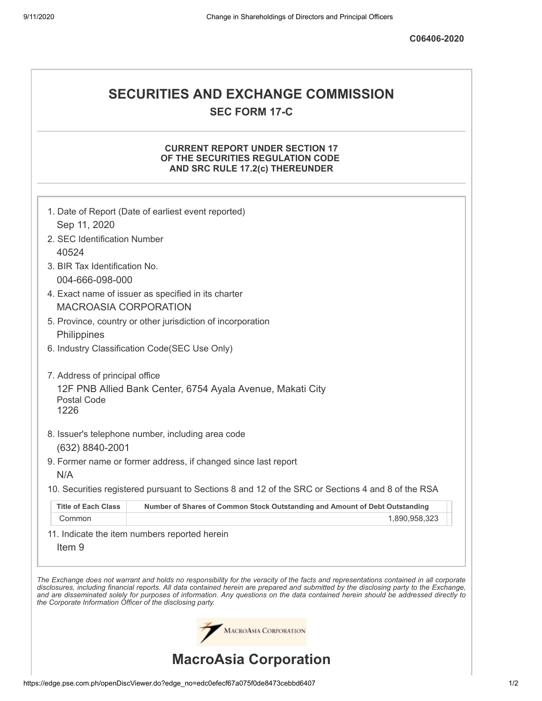# **SECURITIES AND EXCHANGE COMMISSION SEC FORM 17-C**

## **CURRENT REPORT UNDER SECTION 17 OF THE SECURITIES REGULATION CODE AND SRC RULE 17.2(c) THEREUNDER**

|                                                            | 1. Date of Report (Date of earliest event reported)                                                                                                                                                                                                                                                                                                                                                                      |
|------------------------------------------------------------|--------------------------------------------------------------------------------------------------------------------------------------------------------------------------------------------------------------------------------------------------------------------------------------------------------------------------------------------------------------------------------------------------------------------------|
| Sep 11, 2020                                               |                                                                                                                                                                                                                                                                                                                                                                                                                          |
| 2. SEC Identification Number                               |                                                                                                                                                                                                                                                                                                                                                                                                                          |
| 40524                                                      |                                                                                                                                                                                                                                                                                                                                                                                                                          |
| 3. BIR Tax Identification No.                              |                                                                                                                                                                                                                                                                                                                                                                                                                          |
| 004-666-098-000                                            |                                                                                                                                                                                                                                                                                                                                                                                                                          |
|                                                            | 4. Exact name of issuer as specified in its charter                                                                                                                                                                                                                                                                                                                                                                      |
| <b>MACROASIA CORPORATION</b>                               |                                                                                                                                                                                                                                                                                                                                                                                                                          |
|                                                            | 5. Province, country or other jurisdiction of incorporation                                                                                                                                                                                                                                                                                                                                                              |
| Philippines                                                |                                                                                                                                                                                                                                                                                                                                                                                                                          |
|                                                            | 6. Industry Classification Code(SEC Use Only)                                                                                                                                                                                                                                                                                                                                                                            |
| 7. Address of principal office                             |                                                                                                                                                                                                                                                                                                                                                                                                                          |
| Postal Code<br>1226                                        | 12F PNB Allied Bank Center, 6754 Ayala Avenue, Makati City                                                                                                                                                                                                                                                                                                                                                               |
|                                                            |                                                                                                                                                                                                                                                                                                                                                                                                                          |
|                                                            | 8. Issuer's telephone number, including area code                                                                                                                                                                                                                                                                                                                                                                        |
| (632) 8840-2001                                            |                                                                                                                                                                                                                                                                                                                                                                                                                          |
|                                                            | 9. Former name or former address, if changed since last report                                                                                                                                                                                                                                                                                                                                                           |
| N/A                                                        |                                                                                                                                                                                                                                                                                                                                                                                                                          |
|                                                            | 10. Securities registered pursuant to Sections 8 and 12 of the SRC or Sections 4 and 8 of the RSA                                                                                                                                                                                                                                                                                                                        |
| <b>Title of Each Class</b>                                 | Number of Shares of Common Stock Outstanding and Amount of Debt Outstanding                                                                                                                                                                                                                                                                                                                                              |
| Common                                                     | 1,890,958,323                                                                                                                                                                                                                                                                                                                                                                                                            |
| Item <sub>9</sub>                                          | 11. Indicate the item numbers reported herein                                                                                                                                                                                                                                                                                                                                                                            |
| the Corporate Information Officer of the disclosing party. | The Exchange does not warrant and holds no responsibility for the veracity of the facts and representations contained in all corporate<br>disclosures, including financial reports. All data contained herein are prepared and submitted by the disclosing party to the Exchange,<br>and are disseminated solely for purposes of information. Any questions on the data contained herein should be addressed directly to |
|                                                            | MACROASIA CORPORATION                                                                                                                                                                                                                                                                                                                                                                                                    |
|                                                            | <b>MacroAsia Corporation</b>                                                                                                                                                                                                                                                                                                                                                                                             |